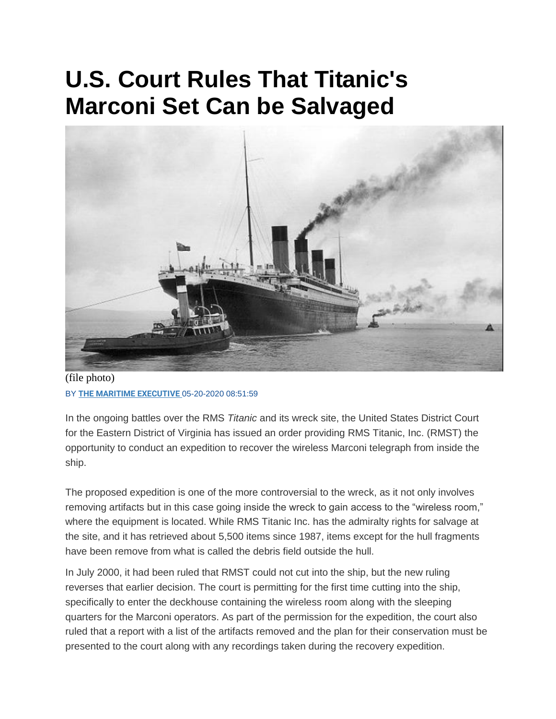## **U.S. Court Rules That Titanic's Marconi Set Can be Salvaged**



(file photo) BY **[THE MARITIME EXECUTIVE](https://www.maritime-executive.com/author/marex)** 05-20-2020 08:51:59

In the ongoing battles over the RMS *Titanic* and its wreck site, the United States District Court for the Eastern District of Virginia has issued an order providing RMS Titanic, Inc. (RMST) the opportunity to conduct an expedition to recover the wireless Marconi telegraph from inside the ship.

The proposed expedition is one of the more controversial to the wreck, as it not only involves removing artifacts but in this case going inside the wreck to gain access to the "wireless room," where the equipment is located. While RMS Titanic Inc. has the admiralty rights for salvage at the site, and it has retrieved about 5,500 items since 1987, items except for the hull fragments have been remove from what is called the debris field outside the hull.

In July 2000, it had been ruled that RMST could not cut into the ship, but the new ruling reverses that earlier decision. The court is permitting for the first time cutting into the ship, specifically to enter the deckhouse containing the wireless room along with the sleeping quarters for the Marconi operators. As part of the permission for the expedition, the court also ruled that a report with a list of the artifacts removed and the plan for their conservation must be presented to the court along with any recordings taken during the recovery expedition.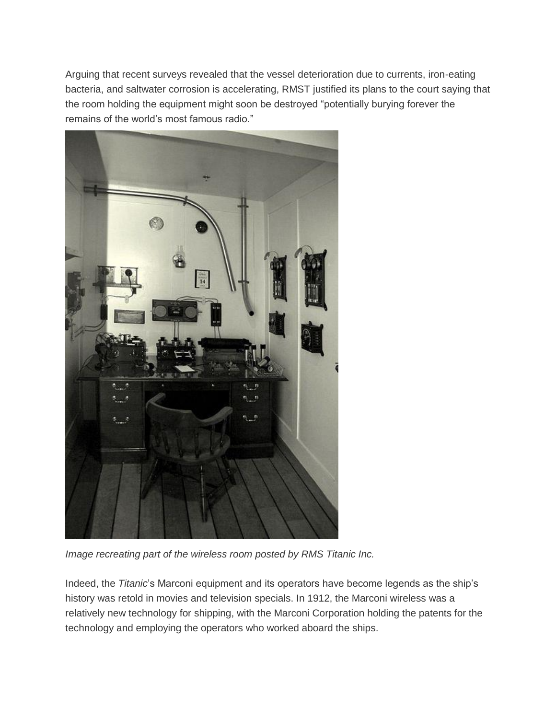Arguing that recent surveys revealed that the vessel deterioration due to currents, iron-eating bacteria, and saltwater corrosion is accelerating, RMST justified its plans to the court saying that the room holding the equipment might soon be destroyed "potentially burying forever the remains of the world's most famous radio."



*Image recreating part of the wireless room posted by RMS Titanic Inc.*

Indeed, the *Titanic*'s Marconi equipment and its operators have become legends as the ship's history was retold in movies and television specials. In 1912, the Marconi wireless was a relatively new technology for shipping, with the Marconi Corporation holding the patents for the technology and employing the operators who worked aboard the ships.